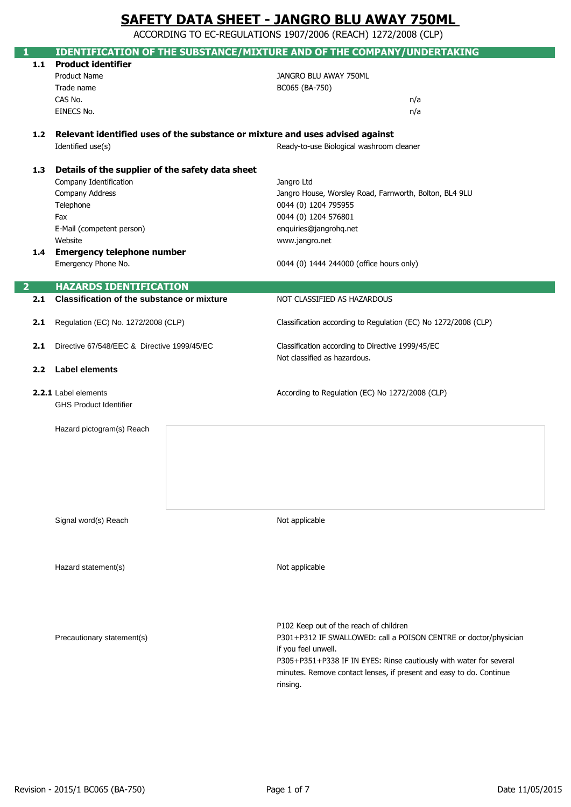ACCORDING TO EC-REGULATIONS 1907/2006 (REACH) 1272/2008 (CLP)

|                | <b>IDENTIFICATION OF THE SUBSTANCE/MIXTURE AND OF THE COMPANY/UNDERTAKING</b>     |                                                                     |
|----------------|-----------------------------------------------------------------------------------|---------------------------------------------------------------------|
| 1.1            | <b>Product identifier</b>                                                         |                                                                     |
|                | Product Name                                                                      | JANGRO BLU AWAY 750ML                                               |
|                | Trade name                                                                        | BC065 (BA-750)                                                      |
|                | CAS No.                                                                           | n/a                                                                 |
|                | EINECS No.                                                                        | n/a                                                                 |
|                |                                                                                   |                                                                     |
|                | 1.2 Relevant identified uses of the substance or mixture and uses advised against |                                                                     |
|                | Identified use(s)                                                                 | Ready-to-use Biological washroom cleaner                            |
|                |                                                                                   |                                                                     |
| 1.3            | Details of the supplier of the safety data sheet                                  |                                                                     |
|                | Company Identification                                                            | Jangro Ltd                                                          |
|                | Company Address                                                                   | Jangro House, Worsley Road, Farnworth, Bolton, BL4 9LU              |
|                | Telephone                                                                         | 0044 (0) 1204 795955                                                |
|                | Fax                                                                               | 0044 (0) 1204 576801                                                |
|                | E-Mail (competent person)                                                         | enquiries@jangrohq.net                                              |
|                | Website                                                                           | www.jangro.net                                                      |
| 1.4            | <b>Emergency telephone number</b>                                                 |                                                                     |
|                | Emergency Phone No.                                                               | 0044 (0) 1444 244000 (office hours only)                            |
| $\overline{2}$ | <b>HAZARDS IDENTIFICATION</b>                                                     |                                                                     |
| 2.1            | <b>Classification of the substance or mixture</b>                                 | NOT CLASSIFIED AS HAZARDOUS                                         |
|                |                                                                                   |                                                                     |
| 2.1            | Regulation (EC) No. 1272/2008 (CLP)                                               | Classification according to Regulation (EC) No 1272/2008 (CLP)      |
|                |                                                                                   |                                                                     |
| 2.1            | Directive 67/548/EEC & Directive 1999/45/EC                                       | Classification according to Directive 1999/45/EC                    |
|                |                                                                                   | Not classified as hazardous.                                        |
| 2.2            | <b>Label elements</b>                                                             |                                                                     |
|                | 2.2.1 Label elements                                                              | According to Regulation (EC) No 1272/2008 (CLP)                     |
|                | <b>GHS Product Identifier</b>                                                     |                                                                     |
|                |                                                                                   |                                                                     |
|                | Hazard pictogram(s) Reach                                                         |                                                                     |
|                |                                                                                   |                                                                     |
|                |                                                                                   |                                                                     |
|                |                                                                                   |                                                                     |
|                |                                                                                   |                                                                     |
|                |                                                                                   |                                                                     |
|                |                                                                                   |                                                                     |
|                |                                                                                   |                                                                     |
|                | Signal word(s) Reach                                                              | Not applicable                                                      |
|                |                                                                                   |                                                                     |
|                |                                                                                   |                                                                     |
|                | Hazard statement(s)                                                               | Not applicable                                                      |
|                |                                                                                   |                                                                     |
|                |                                                                                   |                                                                     |
|                |                                                                                   |                                                                     |
|                |                                                                                   |                                                                     |
|                |                                                                                   | P102 Keep out of the reach of children                              |
|                | Precautionary statement(s)                                                        | P301+P312 IF SWALLOWED: call a POISON CENTRE or doctor/physician    |
|                |                                                                                   | if you feel unwell.                                                 |
|                |                                                                                   | P305+P351+P338 IF IN EYES: Rinse cautiously with water for several  |
|                |                                                                                   | minutes. Remove contact lenses, if present and easy to do. Continue |
|                |                                                                                   | rinsing.                                                            |
|                |                                                                                   |                                                                     |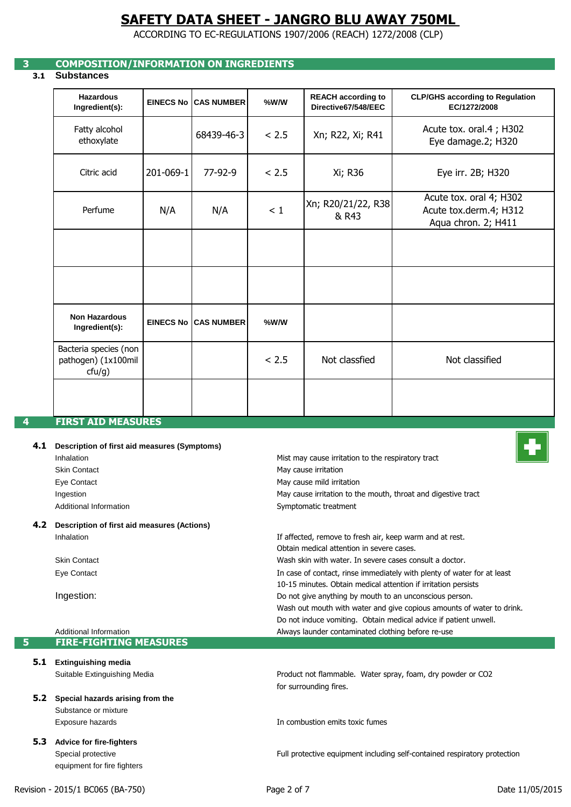ACCORDING TO EC-REGULATIONS 1907/2006 (REACH) 1272/2008 (CLP)

## **3 COMPOSITION/INFORMATION ON INGREDIENTS**

### **3.1 Substances**

| <b>Hazardous</b><br>Ingredient(s):                     | <b>EINECS No</b> | <b>CAS NUMBER</b>           | %W/W  | <b>REACH according to</b><br>Directive67/548/EEC | <b>CLP/GHS according to Regulation</b><br>EC/1272/2008                   |
|--------------------------------------------------------|------------------|-----------------------------|-------|--------------------------------------------------|--------------------------------------------------------------------------|
| Fatty alcohol<br>ethoxylate                            |                  | 68439-46-3                  | < 2.5 | Xn; R22, Xi; R41                                 | Acute tox. oral.4; H302<br>Eye damage.2; H320                            |
| Citric acid                                            | 201-069-1        | $77-92-9$                   | < 2.5 | Xi; R36                                          | Eye irr. 2B; H320                                                        |
| Perfume                                                | N/A              | N/A                         | < 1   | Xn; R20/21/22, R38<br>& R43                      | Acute tox. oral 4; H302<br>Acute tox.derm.4; H312<br>Aqua chron. 2; H411 |
|                                                        |                  |                             |       |                                                  |                                                                          |
|                                                        |                  |                             |       |                                                  |                                                                          |
| <b>Non Hazardous</b><br>Ingredient(s):                 |                  | <b>EINECS No CAS NUMBER</b> | %W/W  |                                                  |                                                                          |
| Bacteria species (non<br>pathogen) (1x100mil<br>ctu/g) |                  |                             | < 2.5 | Not classfied                                    | Not classified                                                           |
|                                                        |                  |                             |       |                                                  |                                                                          |

### **4.1 Description of first aid measures (Symptoms)**

| Inhalation             |
|------------------------|
| Skin Contact           |
| Eye Contact            |
| Ingestion              |
| Additional Information |

#### **4.2 Description of first aid measures (Actions)** Inhalation

Skin Contact Eye Contact

Ingestion:

#### Additional Information **5 FIRE-FIGHTING MEASURES**

- **5.1 Extinguishing media** Suitable Extinguishing Media
- **5.2 Special hazards arising from the**  Substance or mixture Exposure hazards
- **5.3 Advice for fire-fighters** Special protective equipment for fire fighters



Do not induce vomiting. Obtain medical advice if patient unwell. Always launder contaminated clothing before re-use

Product not flammable. Water spray, foam, dry powder or CO2

In case of contact, rinse immediately with plenty of water for at least

Wash out mouth with water and give copious amounts of water to drink.

Obtain medical attention in severe cases.

Symptomatic treatment

May cause mild irritation May cause irritation

Wash skin with water. In severe cases consult a doctor.

10-15 minutes. Obtain medical attention if irritation persists

Do not give anything by mouth to an unconscious person.

If affected, remove to fresh air, keep warm and at rest.

May cause irritation to the mouth, throat and digestive tract

Mist may cause irritation to the respiratory tract

In combustion emits toxic fumes

for surrounding fires.

Full protective equipment including self-contained respiratory protection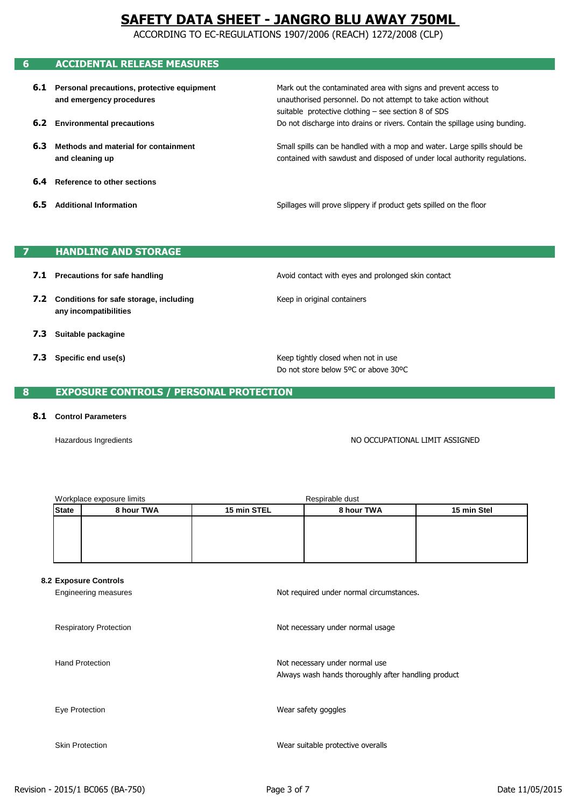ACCORDING TO EC-REGULATIONS 1907/2006 (REACH) 1272/2008 (CLP)

## **6 ACCIDENTAL RELEASE MEASURES**

- **6.1 Personal precautions, protective equipment and emergency procedures**
- **6.2 Environmental precautions**
- **6.3 Methods and material for containment and cleaning up**
- **6.4 Reference to other sections**
- **6.5 Additional Information**

unauthorised personnel. Do not attempt to take action without Mark out the contaminated area with signs and prevent access to suitable protective clothing – see section 8 of SDS Do not discharge into drains or rivers. Contain the spillage using bunding.

contained with sawdust and disposed of under local authority regulations. Small spills can be handled with a mop and water. Large spills should be

Spillages will prove slippery if product gets spilled on the floor

### **7 HANDLING AND STORAGE**

- **7.1 Precautions for safe handling**
- **7.2 Conditions for safe storage, including any incompatibilities**
- **7.3 Suitable packagine**
- **7.3 Specific end use(s)**

Avoid contact with eyes and prolonged skin contact

Keep in original containers

Do not store below 5ºC or above 30ºC Keep tightly closed when not in use

### **8 EXPOSURE CONTROLS / PERSONAL PROTECTION**

#### **8.1 Control Parameters**

Hazardous Ingredients

NO OCCUPATIONAL LIMIT ASSIGNED

|              | Workplace exposure limits |             | Respirable dust |             |
|--------------|---------------------------|-------------|-----------------|-------------|
| <b>State</b> | 8 hour TWA                | 15 min STEL | 8 hour TWA      | 15 min Stel |
|              |                           |             |                 |             |
|              |                           |             |                 |             |
|              |                           |             |                 |             |
|              |                           |             |                 |             |

#### **8.2 Exposure Controls**

| Engineering measures          | Not required under normal circumstances.                                              |
|-------------------------------|---------------------------------------------------------------------------------------|
| <b>Respiratory Protection</b> | Not necessary under normal usage                                                      |
| <b>Hand Protection</b>        | Not necessary under normal use<br>Always wash hands thoroughly after handling product |
| Eye Protection                | Wear safety goggles                                                                   |
| <b>Skin Protection</b>        | Wear suitable protective overalls                                                     |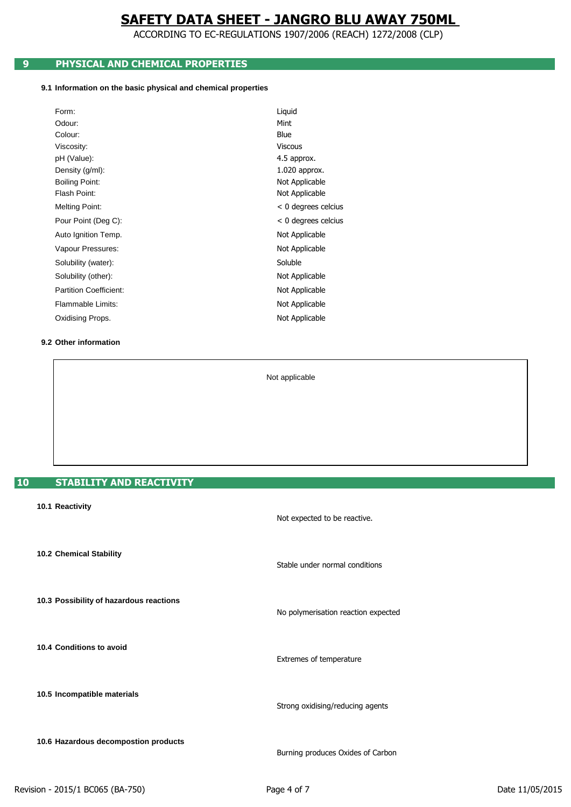ACCORDING TO EC-REGULATIONS 1907/2006 (REACH) 1272/2008 (CLP)

## **9 PHYSICAL AND CHEMICAL PROPERTIES**

#### **9.1 Information on the basic physical and chemical properties**

| Form:                         | Liquid                |
|-------------------------------|-----------------------|
| Odour:                        | Mint                  |
| Colour:                       | Blue                  |
| Viscosity:                    | <b>Viscous</b>        |
| pH (Value):                   | 4.5 approx.           |
| Density (g/ml):               | 1.020 approx.         |
| <b>Boiling Point:</b>         | Not Applicable        |
| Flash Point:                  | Not Applicable        |
| Melting Point:                | $< 0$ degrees celcius |
| Pour Point (Deg C):           | $< 0$ degrees celcius |
| Auto Ignition Temp.           | Not Applicable        |
| Vapour Pressures:             | Not Applicable        |
| Solubility (water):           | Soluble               |
| Solubility (other):           | Not Applicable        |
| <b>Partition Coefficient:</b> | Not Applicable        |
| Flammable Limits:             | Not Applicable        |
| Oxidising Props.              | Not Applicable        |
|                               |                       |

#### **9.2 Other information**

Not applicable

## **10 STABILITY AND REACTIVITY**

| 10.1 Reactivity                         | Not expected to be reactive.        |
|-----------------------------------------|-------------------------------------|
| 10.2 Chemical Stability                 | Stable under normal conditions      |
| 10.3 Possibility of hazardous reactions | No polymerisation reaction expected |
| 10.4 Conditions to avoid                | Extremes of temperature             |
| 10.5 Incompatible materials             | Strong oxidising/reducing agents    |
| 10.6 Hazardous decompostion products    | Burning produces Oxides of Carbon   |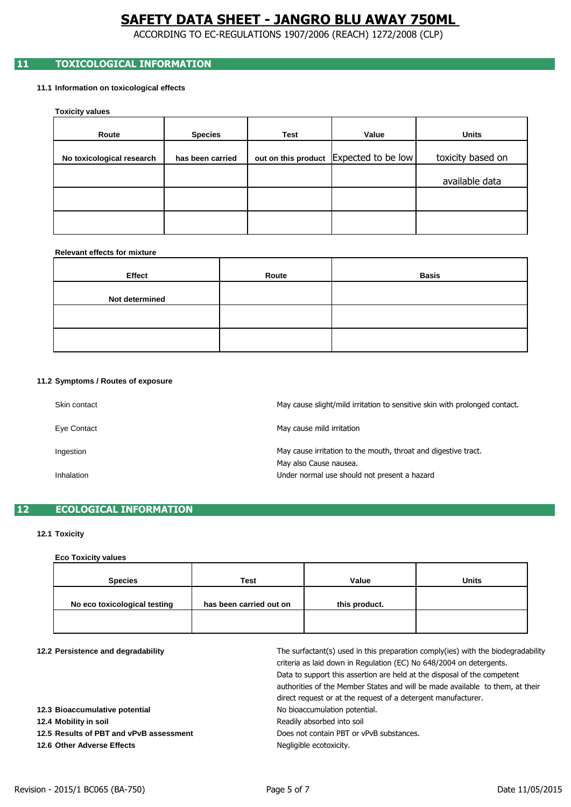ACCORDING TO EC-REGULATIONS 1907/2006 (REACH) 1272/2008 (CLP)

## **11 TOXICOLOGICAL INFORMATION**

#### **11.1 Information on toxicological effects**

**Toxicity values**

| Route                     | <b>Species</b>   | Test | Value                                  | <b>Units</b>      |
|---------------------------|------------------|------|----------------------------------------|-------------------|
| No toxicological research | has been carried |      | out on this product Expected to be low | toxicity based on |
|                           |                  |      |                                        | available data    |
|                           |                  |      |                                        |                   |
|                           |                  |      |                                        |                   |

#### **Relevant effects for mixture**

| Effect         | Route | <b>Basis</b> |
|----------------|-------|--------------|
| Not determined |       |              |
|                |       |              |
|                |       |              |

#### **11.2 Symptoms / Routes of exposure**

| Skin contact | May cause slight/mild irritation to sensitive skin with prolonged contact. |
|--------------|----------------------------------------------------------------------------|
| Eye Contact  | May cause mild irritation                                                  |
| Ingestion    | May cause irritation to the mouth, throat and digestive tract.             |
| Inhalation   | May also Cause nausea.<br>Under normal use should not present a hazard     |

### **12 ECOLOGICAL INFORMATION**

### **12.1 Toxicity**

### **Eco Toxicity values**

| <b>Species</b>               | <b>Test</b>             | Value         | <b>Units</b> |
|------------------------------|-------------------------|---------------|--------------|
| No eco toxicological testing | has been carried out on | this product. |              |
|                              |                         |               |              |

| 12.2 Persistence and degradability |
|------------------------------------|
|------------------------------------|

| 12.2 Persistence and degradability      | The surfactant(s) used in this preparation comply(ies) with the biodegradability<br>criteria as laid down in Regulation (EC) No 648/2004 on detergents.<br>Data to support this assertion are held at the disposal of the competent<br>authorities of the Member States and will be made available to them, at their |
|-----------------------------------------|----------------------------------------------------------------------------------------------------------------------------------------------------------------------------------------------------------------------------------------------------------------------------------------------------------------------|
| 12.3 Bioaccumulative potential          | direct request or at the request of a detergent manufacturer.<br>No bioaccumulation potential.                                                                                                                                                                                                                       |
| 12.4 Mobility in soil                   | Readily absorbed into soil                                                                                                                                                                                                                                                                                           |
| 12.5 Results of PBT and vPvB assessment | Does not contain PBT or vPvB substances.                                                                                                                                                                                                                                                                             |
| 12.6 Other Adverse Effects              | Negligible ecotoxicity.                                                                                                                                                                                                                                                                                              |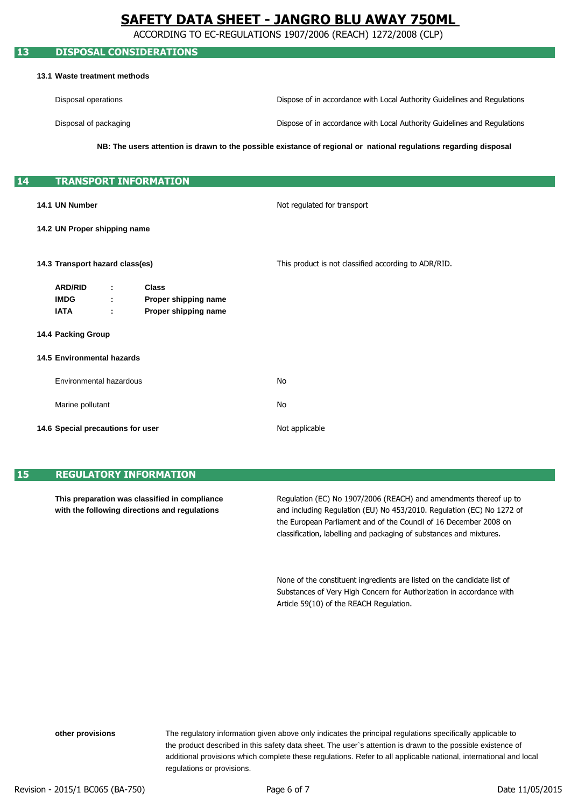ACCORDING TO EC-REGULATIONS 1907/2006 (REACH) 1272/2008 (CLP)

## **13 DISPOSAL CONSIDERATIONS 13.1 Waste treatment methods** Disposal operations Disposal of packaging **14 TRANSPORT INFORMATION 14.1 UN Number 14.2 UN Proper shipping name 14.3 Transport hazard class(es) ARD/RID : Class IMDG : Proper shipping name IATA : Proper shipping name 14.4 Packing Group 14.5 Environmental hazards** Environmental hazardous Marine pollutant **14.6 Special precautions for user** Not applicable This product is not classified according to ADR/RID. Not regulated for transport No No **NB: The users attention is drawn to the possible existance of regional or national regulations regarding disposal** Dispose of in accordance with Local Authority Guidelines and Regulations Dispose of in accordance with Local Authority Guidelines and Regulations

## **15 REGULATORY INFORMATION**

**This preparation was classified in compliance with the following directions and regulations**

and including Regulation (EU) No 453/2010. Regulation (EC) No 1272 of classification, labelling and packaging of substances and mixtures. Regulation (EC) No 1907/2006 (REACH) and amendments thereof up to the European Parliament and of the Council of 16 December 2008 on

Substances of Very High Concern for Authorization in accordance with None of the constituent ingredients are listed on the candidate list of Article 59(10) of the REACH Regulation.

regulations or provisions. The regulatory information given above only indicates the principal regulations specifically applicable to additional provisions which complete these regulations. Refer to all applicable national, international and local the product described in this safety data sheet. The user`s attention is drawn to the possible existence of